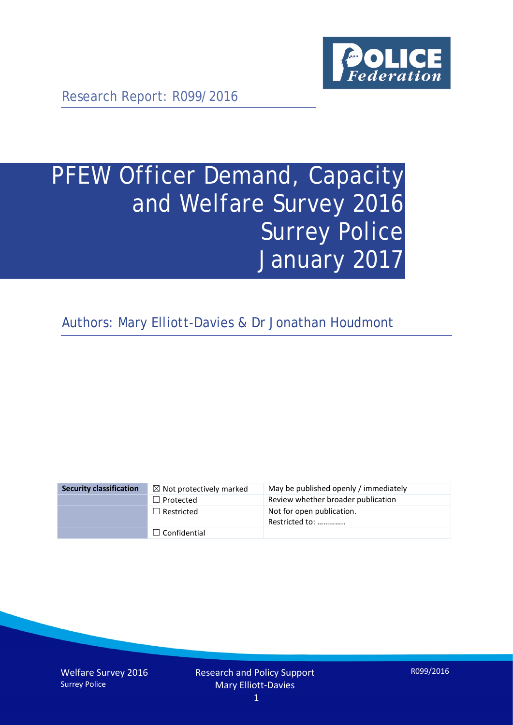

Research Report: R099/2016

# PFEW Officer Demand, Capacity and Welfare Survey 2016 Surrey Police January 2017

Authors: Mary Elliott-Davies & Dr Jonathan Houdmont

| <b>Security classification</b> | $\boxtimes$ Not protectively marked | May be published openly / immediately       |
|--------------------------------|-------------------------------------|---------------------------------------------|
|                                | $\Box$ Protected                    | Review whether broader publication          |
|                                | $\Box$ Restricted                   | Not for open publication.<br>Restricted to: |
|                                | $\Box$ Confidential                 |                                             |

Welfare Survey 2016 Surrey Police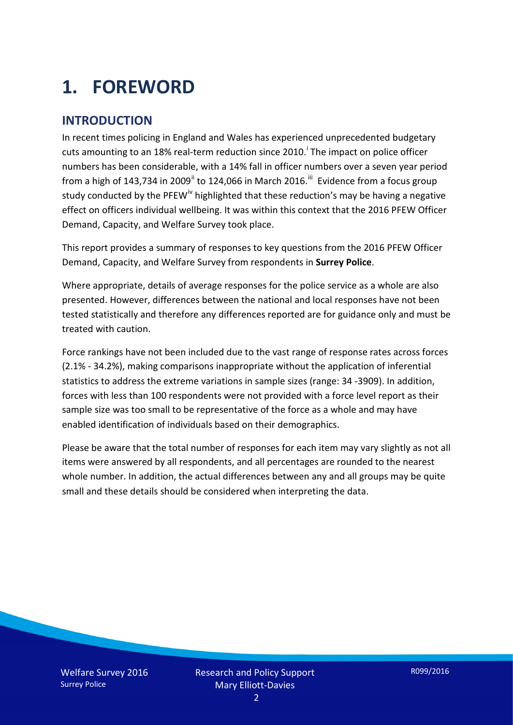# **1. FOREWORD**

### **INTRODUCTION**

In recent times policing in England and Wales has experienced unprecedented budgetary cuts amount[i](#page-15-0)ng to an 18% real-term reduction since 2010.<sup>1</sup> The impact on police officer numbers has been considerable, with a 14% fall in officer numbers over a seven year period from a high of 143,734 in 2009<sup>[ii](#page-15-1)</sup> to 124,066 in March 2016.<sup>[iii](#page-15-2)</sup> Evidence from a focus group study conducted by the PFEW<sup>[iv](#page-15-3)</sup> highlighted that these reduction's may be having a negative effect on officers individual wellbeing. It was within this context that the 2016 PFEW Officer Demand, Capacity, and Welfare Survey took place.

This report provides a summary of responses to key questions from the 2016 PFEW Officer Demand, Capacity, and Welfare Survey from respondents in **Surrey Police**.

Where appropriate, details of average responses for the police service as a whole are also presented. However, differences between the national and local responses have not been tested statistically and therefore any differences reported are for guidance only and must be treated with caution.

Force rankings have not been included due to the vast range of response rates across forces (2.1% - 34.2%), making comparisons inappropriate without the application of inferential statistics to address the extreme variations in sample sizes (range: 34 -3909). In addition, forces with less than 100 respondents were not provided with a force level report as their sample size was too small to be representative of the force as a whole and may have enabled identification of individuals based on their demographics.

Please be aware that the total number of responses for each item may vary slightly as not all items were answered by all respondents, and all percentages are rounded to the nearest whole number. In addition, the actual differences between any and all groups may be quite small and these details should be considered when interpreting the data.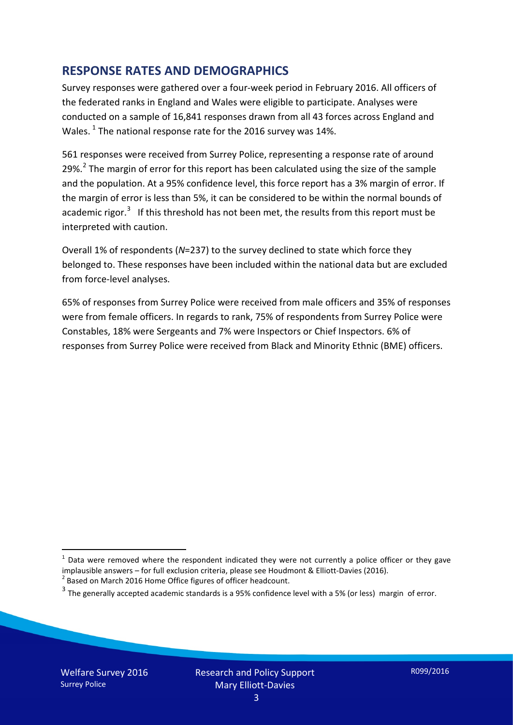### **RESPONSE RATES AND DEMOGRAPHICS**

Survey responses were gathered over a four-week period in February 2016. All officers of the federated ranks in England and Wales were eligible to participate. Analyses were conducted on a sample of 16,841 responses drawn from all 43 forces across England and Wales.  $^1$  $^1$  The national response rate for the 2016 survey was 14%.

561 responses were received from Surrey Police, representing a response rate of around [2](#page-2-1)9%.<sup>2</sup> The margin of error for this report has been calculated using the size of the sample and the population. At a 95% confidence level, this force report has a 3% margin of error. If the margin of error is less than 5%, it can be considered to be within the normal bounds of academic rigor.<sup>[3](#page-2-2)</sup> If this threshold has not been met, the results from this report must be interpreted with caution.

Overall 1% of respondents (*N*=237) to the survey declined to state which force they belonged to. These responses have been included within the national data but are excluded from force-level analyses.

65% of responses from Surrey Police were received from male officers and 35% of responses were from female officers. In regards to rank, 75% of respondents from Surrey Police were Constables, 18% were Sergeants and 7% were Inspectors or Chief Inspectors. 6% of responses from Surrey Police were received from Black and Minority Ethnic (BME) officers.

-

<span id="page-2-0"></span> $1$  Data were removed where the respondent indicated they were not currently a police officer or they gave implausible answers – for full exclusion criteria, please see Houdmont & Elliott-Davies (2016).<br><sup>2</sup> Based on March 2016 Home Office figures of officer headcount.

<span id="page-2-1"></span>

<span id="page-2-2"></span> $3$  The generally accepted academic standards is a 95% confidence level with a 5% (or less) margin of error.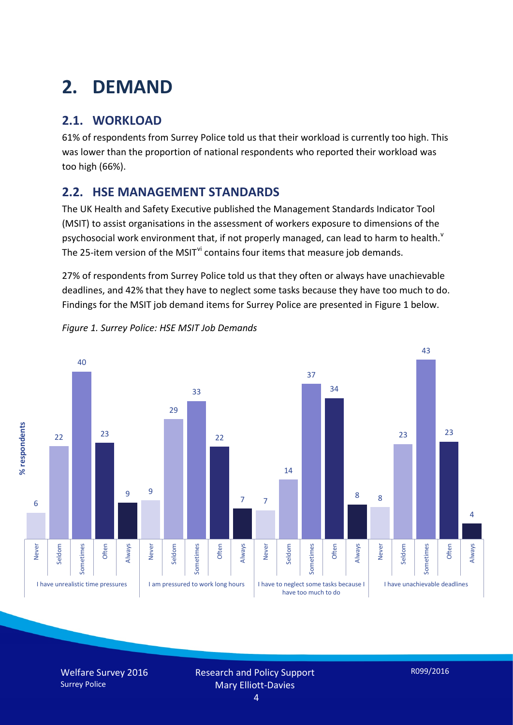# **2. DEMAND**

# **2.1. WORKLOAD**

61% of respondents from Surrey Police told us that their workload is currently too high. This was lower than the proportion of national respondents who reported their workload was too high (66%).

## **2.2. HSE MANAGEMENT STANDARDS**

The UK Health and Safety Executive published the Management Standards Indicator Tool (MSIT) to assist organisations in the assessment of workers exposure to dimensions of the psychosocial work en[v](#page-15-4)ironment that, if not properly managed, can lead to harm to health.<sup>v</sup> The 25-item version of the MSIT<sup>[vi](#page-15-5)</sup> contains four items that measure job demands.

27% of respondents from Surrey Police told us that they often or always have unachievable deadlines, and 42% that they have to neglect some tasks because they have too much to do. Findings for the MSIT job demand items for Surrey Police are presented in Figure 1 below.



*Figure 1. Surrey Police: HSE MSIT Job Demands*

Welfare Survey 2016 Surrey Police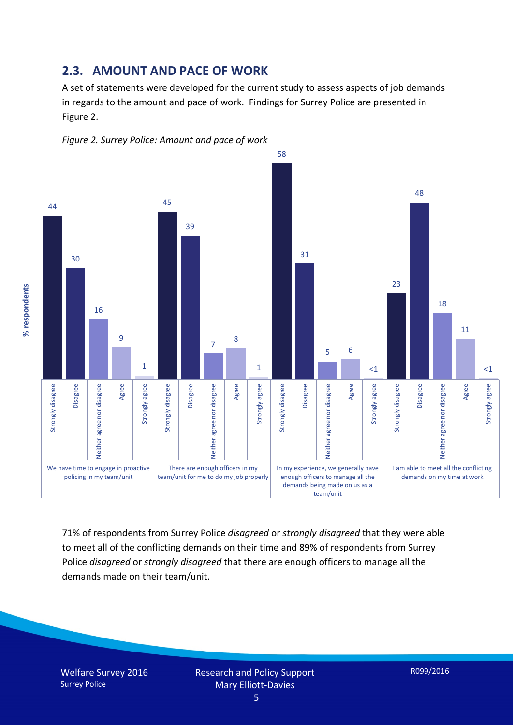### **2.3. AMOUNT AND PACE OF WORK**

A set of statements were developed for the current study to assess aspects of job demands in regards to the amount and pace of work. Findings for Surrey Police are presented in Figure 2.





71% of respondents from Surrey Police *disagreed* or *strongly disagreed* that they were able to meet all of the conflicting demands on their time and 89% of respondents from Surrey Police *disagreed* or *strongly disagreed* that there are enough officers to manage all the demands made on their team/unit.

Welfare Survey 2016 Surrey Police

% respondents **% respondents**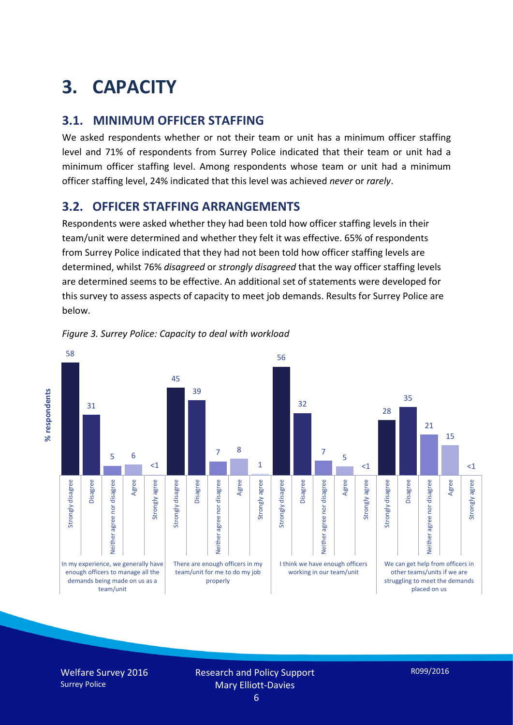# **3. CAPACITY**

### **3.1. MINIMUM OFFICER STAFFING**

We asked respondents whether or not their team or unit has a minimum officer staffing level and 71% of respondents from Surrey Police indicated that their team or unit had a minimum officer staffing level. Among respondents whose team or unit had a minimum officer staffing level, 24% indicated that this level was achieved *never* or *rarely*.

### **3.2. OFFICER STAFFING ARRANGEMENTS**

Respondents were asked whether they had been told how officer staffing levels in their team/unit were determined and whether they felt it was effective. 65% of respondents from Surrey Police indicated that they had not been told how officer staffing levels are determined, whilst 76% *disagreed* or *strongly disagreed* that the way officer staffing levels are determined seems to be effective. An additional set of statements were developed for this survey to assess aspects of capacity to meet job demands. Results for Surrey Police are below.



#### *Figure 3. Surrey Police: Capacity to deal with workload*

Welfare Survey 2016 Surrey Police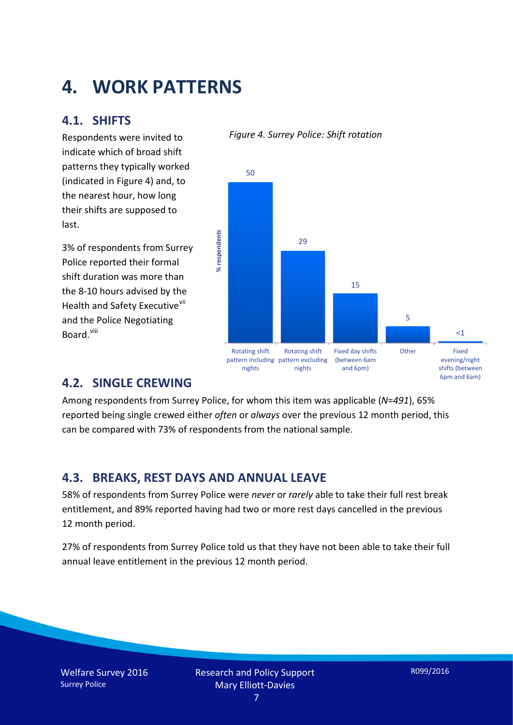# **4. WORK PATTERNS**

### **4.1. SHIFTS**

Respondents were invited to indicate which of broad shift patterns they typically worked (indicated in Figure 4) and, to the nearest hour, how long their shifts are supposed to last.

3% of respondents from Surrey Police reported their formal shift duration was more than the 8-10 hours advised by the Health and Safety Executive<sup>[vii](#page-15-6)</sup> and the Police Negotiating Board.<sup>[viii](#page-15-7)</sup>



*Figure 4. Surrey Police: Shift rotation*

### **4.2. SINGLE CREWING**

Among respondents from Surrey Police, for whom this item was applicable (*N*=*491*), 65% reported being single crewed either *often* or *always* over the previous 12 month period, this can be compared with 73% of respondents from the national sample.

### **4.3. BREAKS, REST DAYS AND ANNUAL LEAVE**

58% of respondents from Surrey Police were *never* or *rarely* able to take their full rest break entitlement, and 89% reported having had two or more rest days cancelled in the previous 12 month period.

27% of respondents from Surrey Police told us that they have not been able to take their full annual leave entitlement in the previous 12 month period.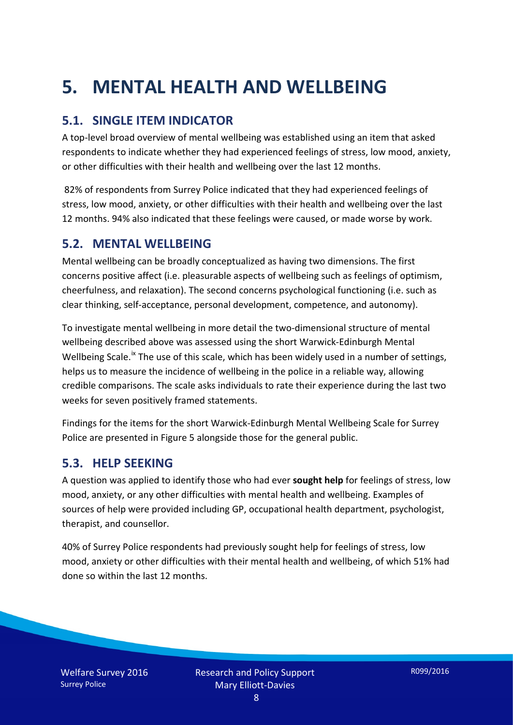# **5. MENTAL HEALTH AND WELLBEING**

# **5.1. SINGLE ITEM INDICATOR**

A top-level broad overview of mental wellbeing was established using an item that asked respondents to indicate whether they had experienced feelings of stress, low mood, anxiety, or other difficulties with their health and wellbeing over the last 12 months.

82% of respondents from Surrey Police indicated that they had experienced feelings of stress, low mood, anxiety, or other difficulties with their health and wellbeing over the last 12 months. 94% also indicated that these feelings were caused, or made worse by work.

### **5.2. MENTAL WELLBEING**

Mental wellbeing can be broadly conceptualized as having two dimensions. The first concerns positive affect (i.e. pleasurable aspects of wellbeing such as feelings of optimism, cheerfulness, and relaxation). The second concerns psychological functioning (i.e. such as clear thinking, self-acceptance, personal development, competence, and autonomy).

To investigate mental wellbeing in more detail the two-dimensional structure of mental wellbeing described above was assessed using the short Warwick-Edinburgh Mental Wellbeing Scale.<sup>[ix](#page-15-8)</sup> The use of this scale, which has been widely used in a number of settings, helps us to measure the incidence of wellbeing in the police in a reliable way, allowing credible comparisons. The scale asks individuals to rate their experience during the last two weeks for seven positively framed statements.

Findings for the items for the short Warwick-Edinburgh Mental Wellbeing Scale for Surrey Police are presented in Figure 5 alongside those for the general public.

### **5.3. HELP SEEKING**

A question was applied to identify those who had ever **sought help** for feelings of stress, low mood, anxiety, or any other difficulties with mental health and wellbeing. Examples of sources of help were provided including GP, occupational health department, psychologist, therapist, and counsellor.

40% of Surrey Police respondents had previously sought help for feelings of stress, low mood, anxiety or other difficulties with their mental health and wellbeing, of which 51% had done so within the last 12 months.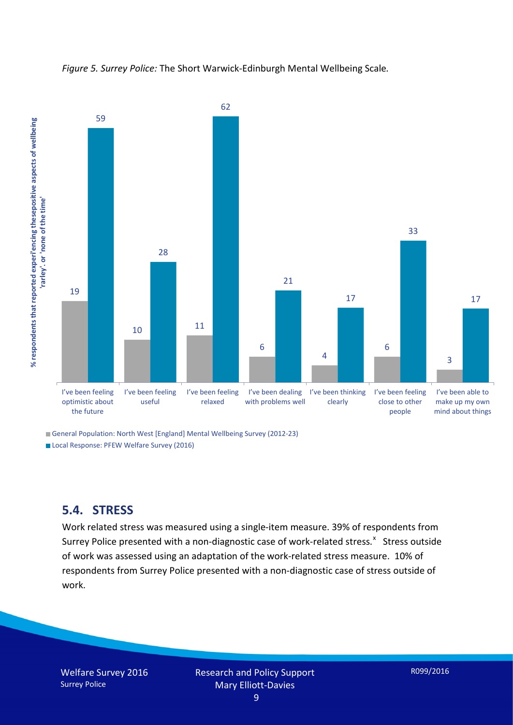



General Population: North West [England] Mental Wellbeing Survey (2012-23) Local Response: PFEW Welfare Survey (2016)

**5.4. STRESS**

Work related stress was measured using a single-item measure. 39% of respondents from Surrey Police presented with a non-diagnostic case of work-related stress.<sup>[x](#page-15-9)</sup> Stress outside of work was assessed using an adaptation of the work-related stress measure. 10% of respondents from Surrey Police presented with a non-diagnostic case of stress outside of work.

Welfare Survey 2016 Surrey Police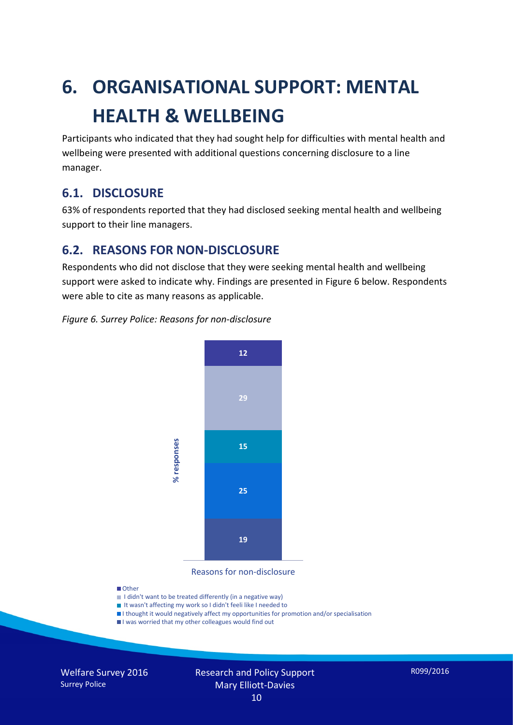# **6. ORGANISATIONAL SUPPORT: MENTAL HEALTH & WELLBEING**

Participants who indicated that they had sought help for difficulties with mental health and wellbeing were presented with additional questions concerning disclosure to a line manager.

### **6.1. DISCLOSURE**

63% of respondents reported that they had disclosed seeking mental health and wellbeing support to their line managers.

### **6.2. REASONS FOR NON-DISCLOSURE**

Respondents who did not disclose that they were seeking mental health and wellbeing support were asked to indicate why. Findings are presented in Figure 6 below. Respondents were able to cite as many reasons as applicable.

#### *Figure 6. Surrey Police: Reasons for non-disclosure*



Reasons for non-disclosure

#### **D**Other

- I didn't want to be treated differently (in a negative way)
- I It wasn't affecting my work so I didn't feeli like I needed to
- I thought it would negatively affect my opportunities for promotion and/or specialisation
- I was worried that my other colleagues would find out

Welfare Survey 2016 Surrey Police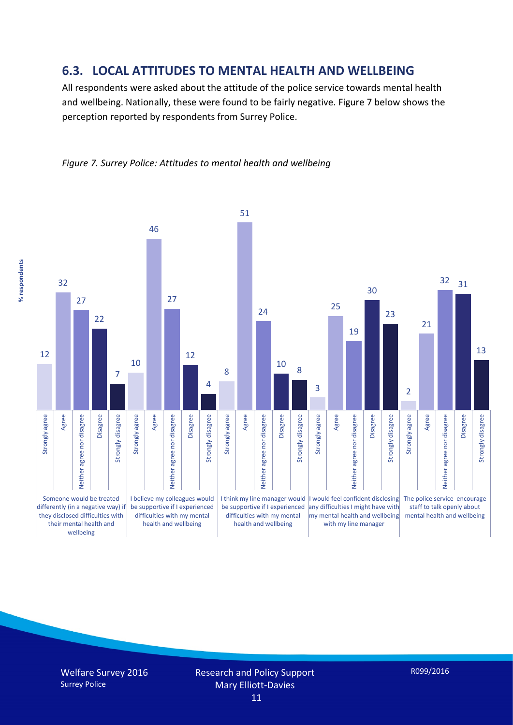### **6.3. LOCAL ATTITUDES TO MENTAL HEALTH AND WELLBEING**

All respondents were asked about the attitude of the police service towards mental health and wellbeing. Nationally, these were found to be fairly negative. Figure 7 below shows the perception reported by respondents from Surrey Police.





Welfare Survey 2016 Surrey Police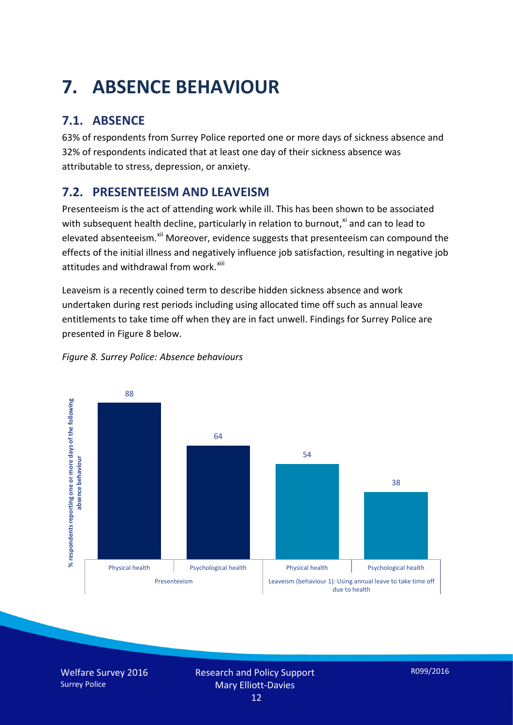# **7. ABSENCE BEHAVIOUR**

# **7.1. ABSENCE**

63% of respondents from Surrey Police reported one or more days of sickness absence and 32% of respondents indicated that at least one day of their sickness absence was attributable to stress, depression, or anxiety.

# **7.2. PRESENTEEISM AND LEAVEISM**

Presenteeism is the act of attending work while ill. This has been shown to be associated with subsequent health decline, particularly in relation to burnout. $^{x_i}$  and can to lead to elevated absenteeism.<sup>[xii](#page-16-1)</sup> Moreover, evidence suggests that presenteeism can compound the effects of the initial illness and negatively influence job satisfaction, resulting in negative job attitudes and withdrawal from work.<sup>[xiii](#page-16-2)</sup>

Leaveism is a recently coined term to describe hidden sickness absence and work undertaken during rest periods including using allocated time off such as annual leave entitlements to take time off when they are in fact unwell. Findings for Surrey Police are presented in Figure 8 below.



#### *Figure 8. Surrey Police: Absence behaviours*

Welfare Survey 2016 Surrey Police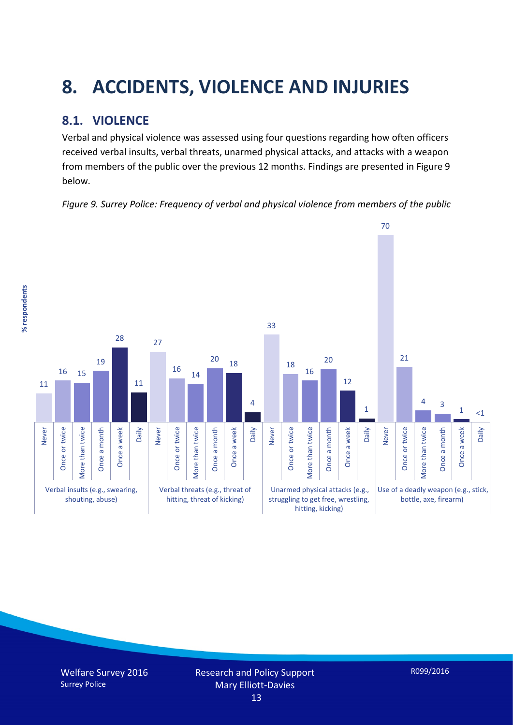# **8. ACCIDENTS, VIOLENCE AND INJURIES**

# **8.1. VIOLENCE**

Verbal and physical violence was assessed using four questions regarding how often officers received verbal insults, verbal threats, unarmed physical attacks, and attacks with a weapon from members of the public over the previous 12 months. Findings are presented in Figure 9 below.

*Figure 9. Surrey Police: Frequency of verbal and physical violence from members of the public*

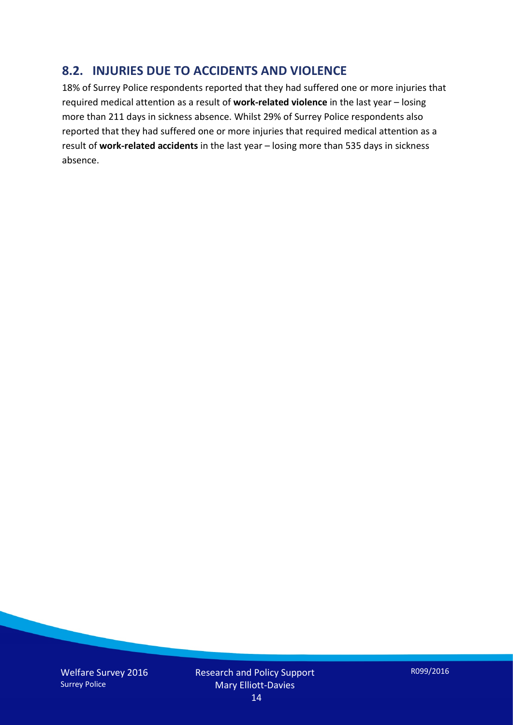## **8.2. INJURIES DUE TO ACCIDENTS AND VIOLENCE**

18% of Surrey Police respondents reported that they had suffered one or more injuries that required medical attention as a result of **work-related violence** in the last year – losing more than 211 days in sickness absence. Whilst 29% of Surrey Police respondents also reported that they had suffered one or more injuries that required medical attention as a result of **work-related accidents** in the last year – losing more than 535 days in sickness absence.

Welfare Survey 2016 Surrey Police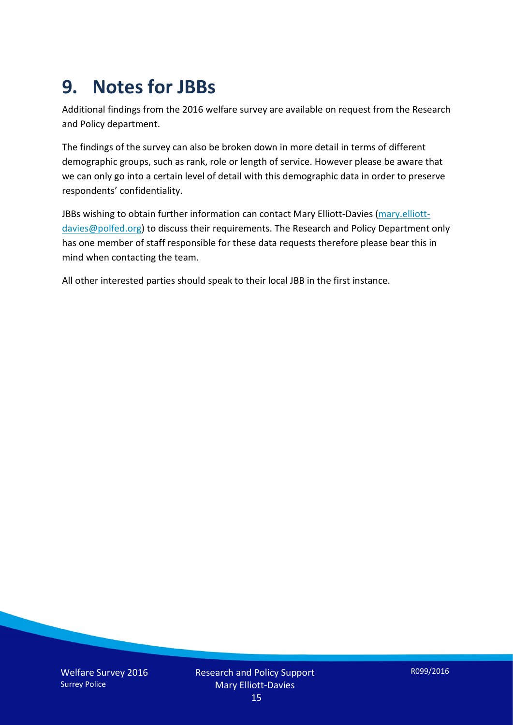# **9. Notes for JBBs**

Additional findings from the 2016 welfare survey are available on request from the Research and Policy department.

The findings of the survey can also be broken down in more detail in terms of different demographic groups, such as rank, role or length of service. However please be aware that we can only go into a certain level of detail with this demographic data in order to preserve respondents' confidentiality.

JBBs wishing to obtain further information can contact Mary Elliott-Davies [\(mary.elliott](mailto:mary.elliott-davies@polfed.org)[davies@polfed.org\)](mailto:mary.elliott-davies@polfed.org) to discuss their requirements. The Research and Policy Department only has one member of staff responsible for these data requests therefore please bear this in mind when contacting the team.

All other interested parties should speak to their local JBB in the first instance.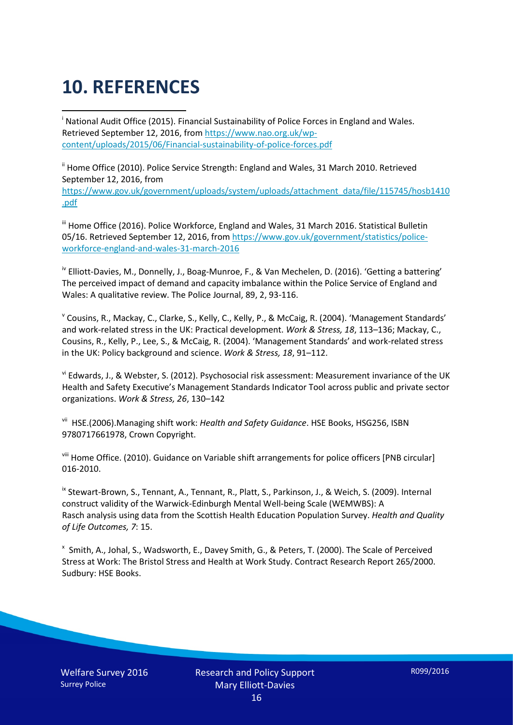# **10. REFERENCES**

<span id="page-15-0"></span>i National Audit Office (2015). Financial Sustainability of Police Forces in England and Wales. Retrieved September 12, 2016, fro[m https://www.nao.org.uk/wp](https://www.nao.org.uk/wp-content/uploads/2015/06/Financial-sustainability-of-police-forces.pdf)[content/uploads/2015/06/Financial-sustainability-of-police-forces.pdf](https://www.nao.org.uk/wp-content/uploads/2015/06/Financial-sustainability-of-police-forces.pdf)

<span id="page-15-1"></span><sup>ii</sup> Home Office (2010). Police Service Strength: England and Wales, 31 March 2010. Retrieved September 12, 2016, from [https://www.gov.uk/government/uploads/system/uploads/attachment\\_data/file/115745/hosb1410](https://www.gov.uk/government/uploads/system/uploads/attachment_data/file/115745/hosb1410.pdf) [.pdf](https://www.gov.uk/government/uploads/system/uploads/attachment_data/file/115745/hosb1410.pdf)

<span id="page-15-2"></span><sup>iii</sup> Home Office (2016). Police Workforce, England and Wales, 31 March 2016. Statistical Bulletin 05/16. Retrieved September 12, 2016, fro[m https://www.gov.uk/government/statistics/police](https://www.gov.uk/government/statistics/police-workforce-england-and-wales-31-march-2016)[workforce-england-and-wales-31-march-2016](https://www.gov.uk/government/statistics/police-workforce-england-and-wales-31-march-2016)

<span id="page-15-3"></span><sup>iv</sup> Elliott-Davies, M., Donnelly, J., Boag-Munroe, F., & Van Mechelen, D. (2016). 'Getting a battering' The perceived impact of demand and capacity imbalance within the Police Service of England and Wales: A qualitative review. The Police Journal, 89, 2, 93-116.

<span id="page-15-4"></span><sup>v</sup> Cousins, R., Mackay, C., Clarke, S., Kelly, C., Kelly, P., & McCaig, R. (2004). 'Management Standards' and work-related stress in the UK: Practical development. *Work & Stress, 18*, 113–136; Mackay, C., Cousins, R., Kelly, P., Lee, S., & McCaig, R. (2004). 'Management Standards' and work-related stress in the UK: Policy background and science. *Work & Stress, 18*, 91–112.

<span id="page-15-5"></span>vi Edwards, J., & Webster, S. (2012). Psychosocial risk assessment: Measurement invariance of the UK Health and Safety Executive's Management Standards Indicator Tool across public and private sector organizations. *Work & Stress, 26*, 130–142

<span id="page-15-6"></span>vii HSE.(2006).Managing shift work: *Health and Safety Guidance*. HSE Books, HSG256, ISBN 9780717661978, Crown Copyright.

<span id="page-15-7"></span>viii Home Office. (2010). Guidance on Variable shift arrangements for police officers [PNB circular] 016-2010.

<span id="page-15-8"></span><sup>ix</sup> Stewart-Brown, S., Tennant, A., Tennant, R., Platt, S., Parkinson, J., & Weich, S. (2009). Internal construct validity of the Warwick-Edinburgh Mental Well-being Scale (WEMWBS): A Rasch analysis using data from the Scottish Health Education Population Survey. *Health and Quality of Life Outcomes, 7*: 15.

<span id="page-15-9"></span>x Smith, A., Johal, S., Wadsworth, E., Davey Smith, G., & Peters, T. (2000). The Scale of Perceived Stress at Work: The Bristol Stress and Health at Work Study. Contract Research Report 265/2000. Sudbury: HSE Books.